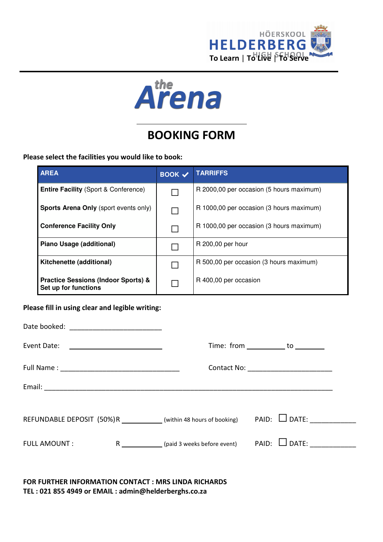



# BOOKING FORM

Please select the facilities you would like to book:

| <b>AREA</b>                                                            | $\overline{ \text{BOOK} \ \checkmark }$ | <b>TARRIFFS</b>                          |
|------------------------------------------------------------------------|-----------------------------------------|------------------------------------------|
| <b>Entire Facility (Sport &amp; Conference)</b>                        |                                         | R 2000,00 per occasion (5 hours maximum) |
| Sports Arena Only (sport events only)                                  |                                         | R 1000,00 per occasion (3 hours maximum) |
| <b>Conference Facility Only</b>                                        |                                         | R 1000,00 per occasion (3 hours maximum) |
| Piano Usage (additional)                                               |                                         | R 200,00 per hour                        |
| Kitchenette (additional)                                               |                                         | R 500,00 per occasion (3 hours maximum)  |
| <b>Practice Sessions (Indoor Sports) &amp;</b><br>Set up for functions |                                         | R 400,00 per occasion                    |

Please fill in using clear and legible writing:

| Event Date:         | <u> 1989 - Andrea Stadt Britain, fransk politik (</u> |                                                                     | Time: from $\sqrt{ }$ to $\sqrt{ }$    |  |
|---------------------|-------------------------------------------------------|---------------------------------------------------------------------|----------------------------------------|--|
|                     |                                                       |                                                                     | Contact No: __________________________ |  |
|                     |                                                       |                                                                     |                                        |  |
|                     |                                                       | REFUNDABLE DEPOSIT (50%)R ____________ (within 48 hours of booking) | $PAID: \Box$ DATE:                     |  |
| <b>FULL AMOUNT:</b> |                                                       | R (paid 3 weeks before event)                                       | $PAID: \Box$ DATE:                     |  |
|                     |                                                       |                                                                     |                                        |  |

FOR FURTHER INFORMATION CONTACT : MRS LINDA RICHARDS TEL : 021 855 4949 or EMAIL : admin@helderberghs.co.za